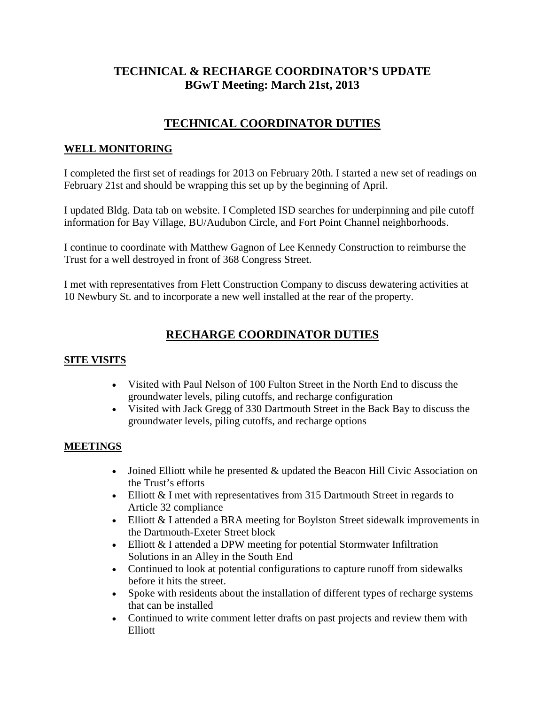### **TECHNICAL & RECHARGE COORDINATOR'S UPDATE BGwT Meeting: March 21st, 2013**

# **TECHNICAL COORDINATOR DUTIES**

#### **WELL MONITORING**

I completed the first set of readings for 2013 on February 20th. I started a new set of readings on February 21st and should be wrapping this set up by the beginning of April.

I updated Bldg. Data tab on website. I Completed ISD searches for underpinning and pile cutoff information for Bay Village, BU/Audubon Circle, and Fort Point Channel neighborhoods.

I continue to coordinate with Matthew Gagnon of Lee Kennedy Construction to reimburse the Trust for a well destroyed in front of 368 Congress Street.

I met with representatives from Flett Construction Company to discuss dewatering activities at 10 Newbury St. and to incorporate a new well installed at the rear of the property.

## **RECHARGE COORDINATOR DUTIES**

#### **SITE VISITS**

- Visited with Paul Nelson of 100 Fulton Street in the North End to discuss the groundwater levels, piling cutoffs, and recharge configuration
- Visited with Jack Gregg of 330 Dartmouth Street in the Back Bay to discuss the groundwater levels, piling cutoffs, and recharge options

### **MEETINGS**

- Joined Elliott while he presented & updated the Beacon Hill Civic Association on the Trust's efforts
- Elliott & I met with representatives from 315 Dartmouth Street in regards to Article 32 compliance
- Elliott & I attended a BRA meeting for Boylston Street sidewalk improvements in the Dartmouth-Exeter Street block
- Elliott & I attended a DPW meeting for potential Stormwater Infiltration Solutions in an Alley in the South End
- Continued to look at potential configurations to capture runoff from sidewalks before it hits the street.
- Spoke with residents about the installation of different types of recharge systems that can be installed
- Continued to write comment letter drafts on past projects and review them with Elliott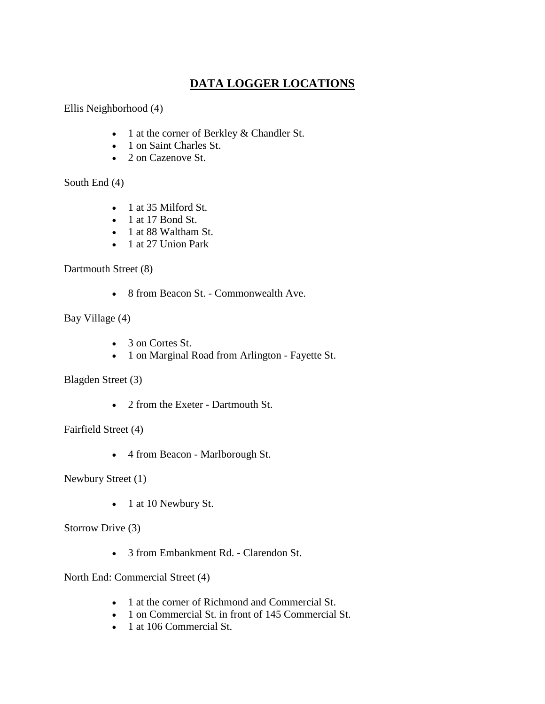# **DATA LOGGER LOCATIONS**

Ellis Neighborhood (4)

- 1 at the corner of Berkley & Chandler St.
- 1 on Saint Charles St.
- 2 on Cazenove St.

South End (4)

- 1 at 35 Milford St.
- $\bullet$  1 at 17 Bond St.
- 1 at 88 Waltham St.
- 1 at 27 Union Park

Dartmouth Street (8)

• 8 from Beacon St. - Commonwealth Ave.

Bay Village (4)

- 3 on Cortes St.
- 1 on Marginal Road from Arlington Fayette St.

Blagden Street (3)

• 2 from the Exeter - Dartmouth St.

Fairfield Street (4)

• 4 from Beacon - Marlborough St.

Newbury Street (1)

• 1 at 10 Newbury St.

Storrow Drive (3)

• 3 from Embankment Rd. - Clarendon St.

North End: Commercial Street (4)

- 1 at the corner of Richmond and Commercial St.
- 1 on Commercial St. in front of 145 Commercial St.
- 1 at 106 Commercial St.